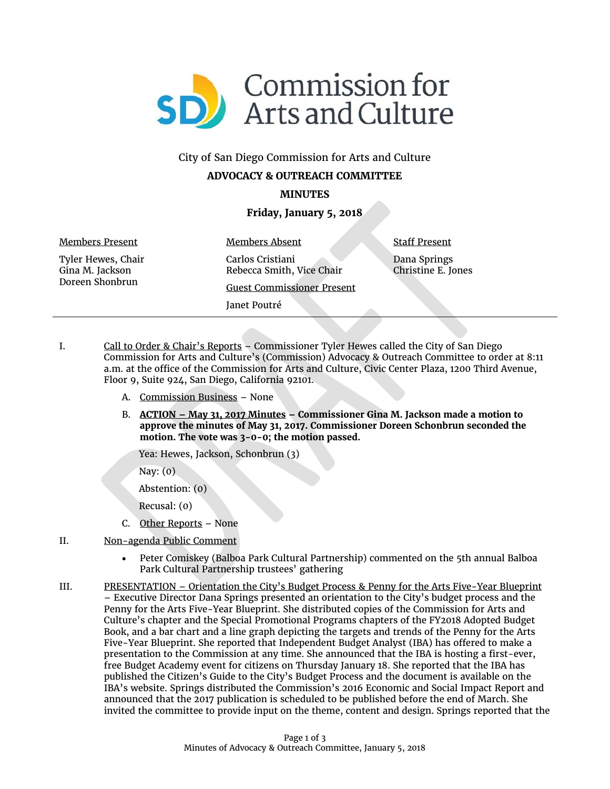

# City of San Diego Commission for Arts and Culture **ADVOCACY & OUTREACH COMMITTEE**

## **MINUTES**

### **Friday, January 5, 2018**

Members Present Tyler Hewes, Chair Gina M. Jackson Doreen Shonbrun

Members Absent Carlos Cristiani Rebecca Smith, Vice Chair Guest Commissioner Present Janet Poutré

Staff Present Dana Springs Christine E. Jones

- I. Call to Order & Chair's Reports Commissioner Tyler Hewes called the City of San Diego Commission for Arts and Culture's (Commission) Advocacy & Outreach Committee to order at 8:11 a.m. at the office of the Commission for Arts and Culture, Civic Center Plaza, 1200 Third Avenue, Floor 9, Suite 924, San Diego, California 92101.
	- A. Commission Business None
	- B. **ACTION – May 31, 2017 Minutes – Commissioner Gina M. Jackson made a motion to approve the minutes of May 31, 2017. Commissioner Doreen Schonbrun seconded the motion. The vote was 3-0-0; the motion passed.**

Yea: Hewes, Jackson, Schonbrun (3)

Nay: (0)

Abstention: (0)

Recusal: (0)

- C. Other Reports None
- II. Non-agenda Public Comment
	- Peter Comiskey (Balboa Park Cultural Partnership) commented on the 5th annual Balboa Park Cultural Partnership trustees' gathering
- III. PRESENTATION Orientation the City's Budget Process & Penny for the Arts Five-Year Blueprint – Executive Director Dana Springs presented an orientation to the City's budget process and the Penny for the Arts Five-Year Blueprint. She distributed copies of the Commission for Arts and Culture's chapter and the Special Promotional Programs chapters of the FY2018 Adopted Budget Book, and a bar chart and a line graph depicting the targets and trends of the Penny for the Arts Five-Year Blueprint. She reported that Independent Budget Analyst (IBA) has offered to make a presentation to the Commission at any time. She announced that the IBA is hosting a first-ever, free Budget Academy event for citizens on Thursday January 18. She reported that the IBA has published the Citizen's Guide to the City's Budget Process and the document is available on the IBA's website. Springs distributed the Commission's 2016 Economic and Social Impact Report and announced that the 2017 publication is scheduled to be published before the end of March. She invited the committee to provide input on the theme, content and design. Springs reported that the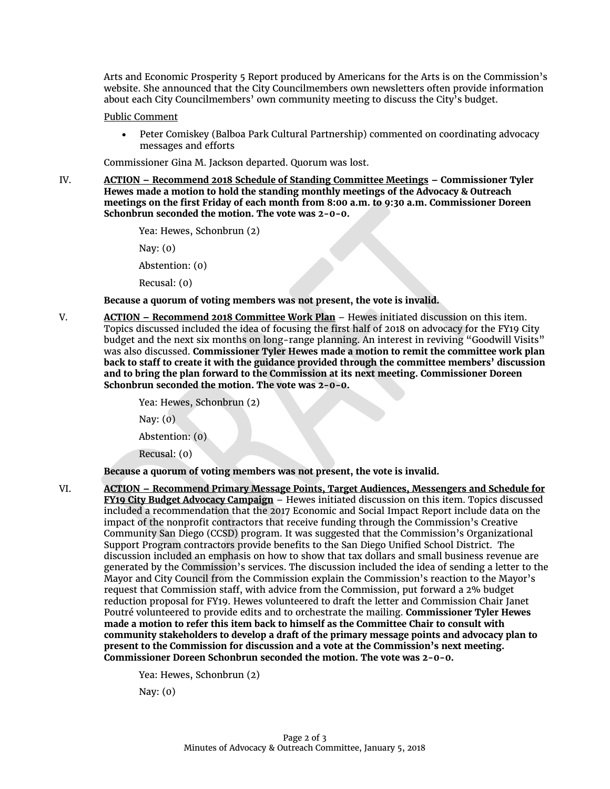Arts and Economic Prosperity 5 Report produced by Americans for the Arts is on the Commission's website. She announced that the City Councilmembers own newsletters often provide information about each City Councilmembers' own community meeting to discuss the City's budget.

#### Public Comment

• Peter Comiskey (Balboa Park Cultural Partnership) commented on coordinating advocacy messages and efforts

Commissioner Gina M. Jackson departed. Quorum was lost.

IV. **ACTION – Recommend 2018 Schedule of Standing Committee Meetings – Commissioner Tyler Hewes made a motion to hold the standing monthly meetings of the Advocacy & Outreach meetings on the first Friday of each month from 8:00 a.m. to 9:30 a.m. Commissioner Doreen Schonbrun seconded the motion. The vote was 2-0-0.** 

```
Yea: Hewes, Schonbrun (2)
```
Nay: (0)

Abstention: (0)

Recusal: (0)

**Because a quorum of voting members was not present, the vote is invalid.**

V. **ACTION – Recommend 2018 Committee Work Plan** – Hewes initiated discussion on this item. Topics discussed included the idea of focusing the first half of 2018 on advocacy for the FY19 City budget and the next six months on long-range planning. An interest in reviving "Goodwill Visits" was also discussed. **Commissioner Tyler Hewes made a motion to remit the committee work plan back to staff to create it with the guidance provided through the committee members' discussion and to bring the plan forward to the Commission at its next meeting. Commissioner Doreen Schonbrun seconded the motion. The vote was 2-0-0.**

Yea: Hewes, Schonbrun (2)

Nay: (0)

Abstention: (0)

Recusal: (0)

**Because a quorum of voting members was not present, the vote is invalid.**

VI. **ACTION – Recommend Primary Message Points, Target Audiences, Messengers and Schedule for FY19 City Budget Advocacy Campaign** – Hewes initiated discussion on this item. Topics discussed included a recommendation that the 2017 Economic and Social Impact Report include data on the impact of the nonprofit contractors that receive funding through the Commission's Creative Community San Diego (CCSD) program. It was suggested that the Commission's Organizational Support Program contractors provide benefits to the San Diego Unified School District. The discussion included an emphasis on how to show that tax dollars and small business revenue are generated by the Commission's services. The discussion included the idea of sending a letter to the Mayor and City Council from the Commission explain the Commission's reaction to the Mayor's request that Commission staff, with advice from the Commission, put forward a 2% budget reduction proposal for FY19. Hewes volunteered to draft the letter and Commission Chair Janet Poutré volunteered to provide edits and to orchestrate the mailing. **Commissioner Tyler Hewes made a motion to refer this item back to himself as the Committee Chair to consult with community stakeholders to develop a draft of the primary message points and advocacy plan to present to the Commission for discussion and a vote at the Commission's next meeting. Commissioner Doreen Schonbrun seconded the motion. The vote was 2-0-0.**

Yea: Hewes, Schonbrun (2)

Nay: (0)